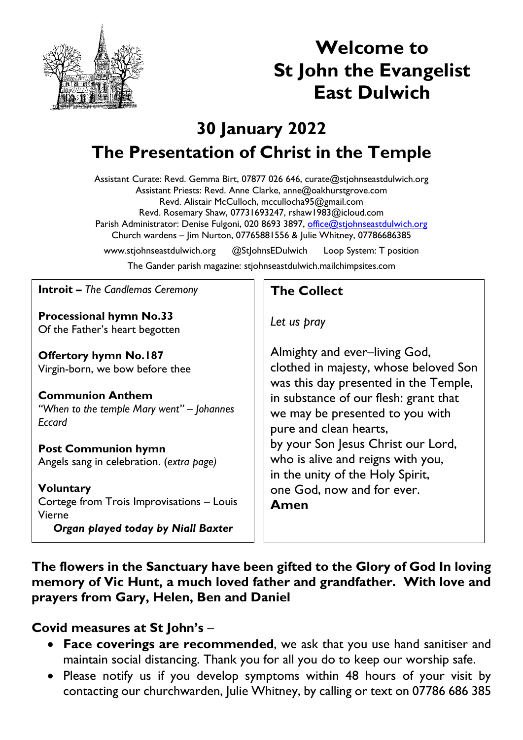

# **Welcome to St John the Evangelist East Dulwich**

## **30 January 2022 The Presentation of Christ in the Temple**

Assistant Curate: Revd. Gemma Birt, 07877 026 646, curate@stjohnseastdulwich.org Assistant Priests: Revd. Anne Clarke, anne@oakhurstgrove.com Revd. Alistair McCulloch, mccullocha95@gmail.com Revd. Rosemary Shaw, 07731693247, rshaw1983@icloud.com Parish Administrator: Denise Fulgoni, 020 8693 3897, [office@stjohnseastdulwich.org](mailto:office@stjohnseastdulwich.org) Church wardens – Jim Nurton, 07765881556 & Julie Whitney, 07786686385 www.stjohnseastdulwich.org @StJohnsEDulwich Loop System: T position

The Gander parish magazine: stjohnseastdulwich.mailchimpsites.com

**Introit –** *The Candlemas Ceremony*

**Processional hymn No.33** Of the Father's heart begotten

**Offertory hymn No.187** Virgin-born, we bow before thee

**Communion Anthem** *"When to the temple Mary went" – Johannes Eccard*

### **Post Communion hymn**

Angels sang in celebration. (*extra page)*

**Voluntary** Cortege from Trois Improvisations – Louis Vierne *Organ played today by Niall Baxter*

#### **The Collect**

*Let us pray*

Almighty and ever–living God, clothed in majesty, whose beloved Son was this day presented in the Temple, in substance of our flesh: grant that we may be presented to you with pure and clean hearts, by your Son Jesus Christ our Lord, who is alive and reigns with you, in the unity of the Holy Spirit, one God, now and for ever. **Amen**

**The flowers in the Sanctuary have been gifted to the Glory of God In loving memory of Vic Hunt, a much loved father and grandfather. With love and prayers from Gary, Helen, Ben and Daniel**

#### **Covid measures at St John's** –

- **Face coverings are recommended**, we ask that you use hand sanitiser and maintain social distancing. Thank you for all you do to keep our worship safe.
- Please notify us if you develop symptoms within 48 hours of your visit by contacting our churchwarden, Julie Whitney, by calling or text on 07786 686 385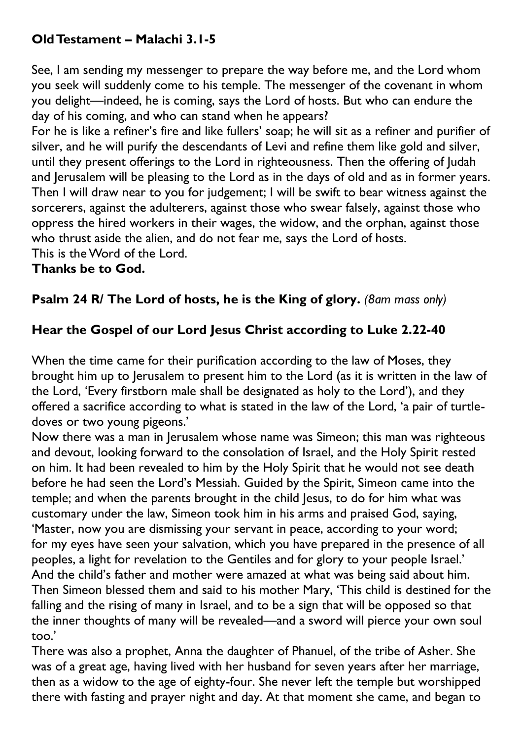## **Old Testament – Malachi 3.1-5**

See, I am sending my messenger to prepare the way before me, and the Lord whom you seek will suddenly come to his temple. The messenger of the covenant in whom you delight—indeed, he is coming, says the Lord of hosts. But who can endure the day of his coming, and who can stand when he appears?

For he is like a refiner's fire and like fullers' soap; he will sit as a refiner and purifier of silver, and he will purify the descendants of Levi and refine them like gold and silver, until they present offerings to the Lord in righteousness. Then the offering of Judah and Jerusalem will be pleasing to the Lord as in the days of old and as in former years. Then I will draw near to you for judgement; I will be swift to bear witness against the sorcerers, against the adulterers, against those who swear falsely, against those who oppress the hired workers in their wages, the widow, and the orphan, against those who thrust aside the alien, and do not fear me, says the Lord of hosts. This is the Word of the Lord.

#### **Thanks be to God.**

#### **Psalm 24 R/ The Lord of hosts, he is the King of glory.** *(8am mass only)*

#### **Hear the Gospel of our Lord Jesus Christ according to Luke 2.22-40**

When the time came for their purification according to the law of Moses, they brought him up to Jerusalem to present him to the Lord (as it is written in the law of the Lord, 'Every firstborn male shall be designated as holy to the Lord'), and they offered a sacrifice according to what is stated in the law of the Lord, 'a pair of turtledoves or two young pigeons.'

Now there was a man in Jerusalem whose name was Simeon; this man was righteous and devout, looking forward to the consolation of Israel, and the Holy Spirit rested on him. It had been revealed to him by the Holy Spirit that he would not see death before he had seen the Lord's Messiah. Guided by the Spirit, Simeon came into the temple; and when the parents brought in the child Jesus, to do for him what was customary under the law, Simeon took him in his arms and praised God, saying, 'Master, now you are dismissing your servant in peace, according to your word; for my eyes have seen your salvation, which you have prepared in the presence of all peoples, a light for revelation to the Gentiles and for glory to your people Israel.' And the child's father and mother were amazed at what was being said about him. Then Simeon blessed them and said to his mother Mary, 'This child is destined for the falling and the rising of many in Israel, and to be a sign that will be opposed so that the inner thoughts of many will be revealed—and a sword will pierce your own soul too.'

There was also a prophet, Anna the daughter of Phanuel, of the tribe of Asher. She was of a great age, having lived with her husband for seven years after her marriage, then as a widow to the age of eighty-four. She never left the temple but worshipped there with fasting and prayer night and day. At that moment she came, and began to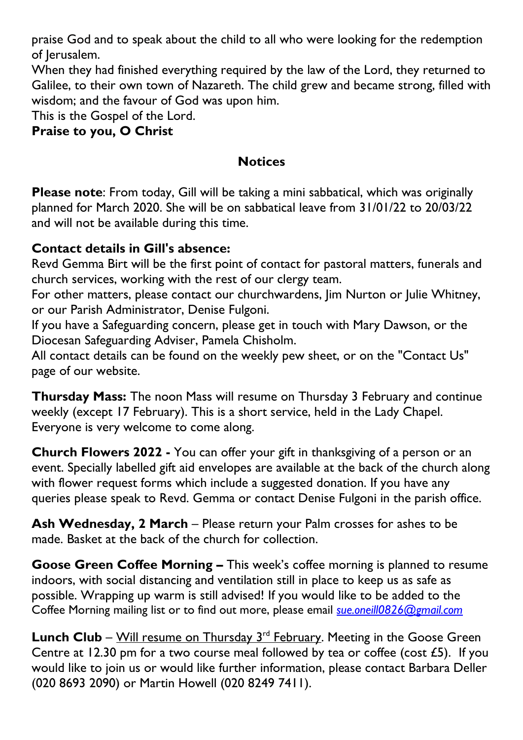praise God and to speak about the child to all who were looking for the redemption of Jerusalem.

When they had finished everything required by the law of the Lord, they returned to Galilee, to their own town of Nazareth. The child grew and became strong, filled with wisdom; and the favour of God was upon him.

This is the Gospel of the Lord.

#### **Praise to you, O Christ**

#### **Notices**

**Please note**: From today, Gill will be taking a mini sabbatical, which was originally planned for March 2020. She will be on sabbatical leave from 31/01/22 to 20/03/22 and will not be available during this time.

#### **Contact details in Gill's absence:**

Revd Gemma Birt will be the first point of contact for pastoral matters, funerals and church services, working with the rest of our clergy team.

For other matters, please contact our churchwardens, Jim Nurton or Julie Whitney, or our Parish Administrator, Denise Fulgoni.

If you have a Safeguarding concern, please get in touch with Mary Dawson, or the Diocesan Safeguarding Adviser, Pamela Chisholm.

All contact details can be found on the weekly pew sheet, or on the "Contact Us" page of our website.

**Thursday Mass:** The noon Mass will resume on Thursday 3 February and continue weekly (except 17 February). This is a short service, held in the Lady Chapel. Everyone is very welcome to come along.

**Church Flowers 2022 -** You can offer your gift in thanksgiving of a person or an event. Specially labelled gift aid envelopes are available at the back of the church along with flower request forms which include a suggested donation. If you have any queries please speak to Revd. Gemma or contact Denise Fulgoni in the parish office.

**Ash Wednesday, 2 March** – Please return your Palm crosses for ashes to be made. Basket at the back of the church for collection.

**Goose Green Coffee Morning –** This week's coffee morning is planned to resume indoors, with social distancing and ventilation still in place to keep us as safe as possible. Wrapping up warm is still advised! If you would like to be added to the Coffee Morning mailing list or to find out more, please email *[sue.oneill0826@gmail.com](mailto:sue.oneill0826@gmail.com)*

**Lunch Club** – Will resume on Thursday 3<sup>rd</sup> February. Meeting in the Goose Green Centre at 12.30 pm for a two course meal followed by tea or coffee (cost £5). If you would like to join us or would like further information, please contact Barbara Deller (020 8693 2090) or Martin Howell (020 8249 7411).